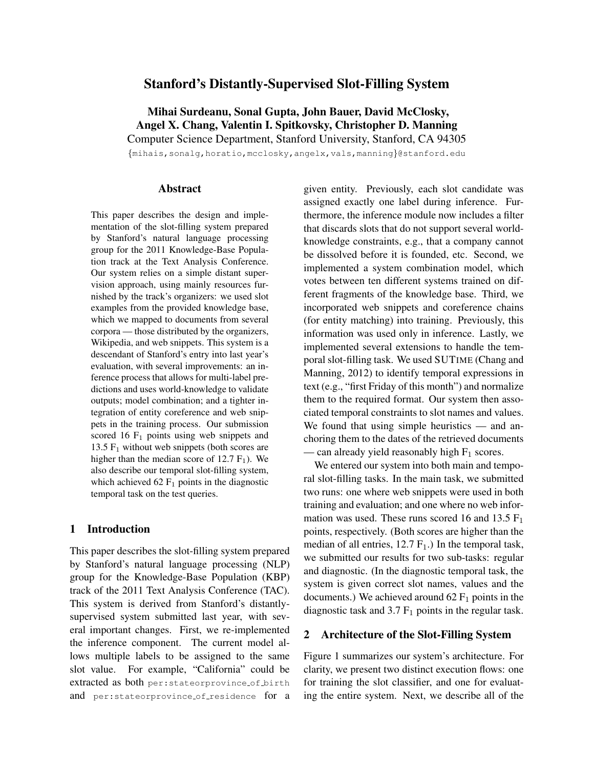# Stanford's Distantly-Supervised Slot-Filling System

Mihai Surdeanu, Sonal Gupta, John Bauer, David McClosky, Angel X. Chang, Valentin I. Spitkovsky, Christopher D. Manning Computer Science Department, Stanford University, Stanford, CA 94305

{mihais,sonalg,horatio,mcclosky,angelx,vals,manning}@stanford.edu

# Abstract

This paper describes the design and implementation of the slot-filling system prepared by Stanford's natural language processing group for the 2011 Knowledge-Base Population track at the Text Analysis Conference. Our system relies on a simple distant supervision approach, using mainly resources furnished by the track's organizers: we used slot examples from the provided knowledge base, which we mapped to documents from several corpora — those distributed by the organizers, Wikipedia, and web snippets. This system is a descendant of Stanford's entry into last year's evaluation, with several improvements: an inference process that allows for multi-label predictions and uses world-knowledge to validate outputs; model combination; and a tighter integration of entity coreference and web snippets in the training process. Our submission scored 16  $F_1$  points using web snippets and 13.5  $F_1$  without web snippets (both scores are higher than the median score of  $12.7 \text{ F}_1$ ). We also describe our temporal slot-filling system, which achieved 62  $F_1$  points in the diagnostic temporal task on the test queries.

## 1 Introduction

This paper describes the slot-filling system prepared by Stanford's natural language processing (NLP) group for the Knowledge-Base Population (KBP) track of the 2011 Text Analysis Conference (TAC). This system is derived from Stanford's distantlysupervised system submitted last year, with several important changes. First, we re-implemented the inference component. The current model allows multiple labels to be assigned to the same slot value. For example, "California" could be extracted as both per:stateorprovince of birth and per: stateorprovince of residence for a

given entity. Previously, each slot candidate was assigned exactly one label during inference. Furthermore, the inference module now includes a filter that discards slots that do not support several worldknowledge constraints, e.g., that a company cannot be dissolved before it is founded, etc. Second, we implemented a system combination model, which votes between ten different systems trained on different fragments of the knowledge base. Third, we incorporated web snippets and coreference chains (for entity matching) into training. Previously, this information was used only in inference. Lastly, we implemented several extensions to handle the temporal slot-filling task. We used SUTIME (Chang and Manning, 2012) to identify temporal expressions in text (e.g., "first Friday of this month") and normalize them to the required format. Our system then associated temporal constraints to slot names and values. We found that using simple heuristics — and anchoring them to the dates of the retrieved documents — can already yield reasonably high  $F_1$  scores.

We entered our system into both main and temporal slot-filling tasks. In the main task, we submitted two runs: one where web snippets were used in both training and evaluation; and one where no web information was used. These runs scored 16 and 13.5  $F_1$ points, respectively. (Both scores are higher than the median of all entries,  $12.7 F_1$ .) In the temporal task, we submitted our results for two sub-tasks: regular and diagnostic. (In the diagnostic temporal task, the system is given correct slot names, values and the documents.) We achieved around  $62 \mathrm{F}_1$  points in the diagnostic task and  $3.7 \text{ F}_1$  points in the regular task.

## 2 Architecture of the Slot-Filling System

Figure 1 summarizes our system's architecture. For clarity, we present two distinct execution flows: one for training the slot classifier, and one for evaluating the entire system. Next, we describe all of the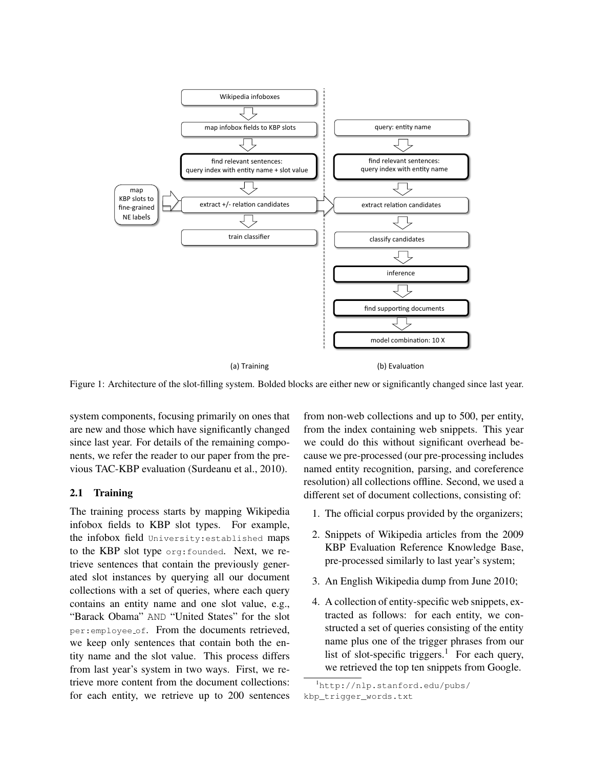

Figure 1: Architecture of the slot-filling system. Bolded blocks are either new or significantly changed since last year.

system components, focusing primarily on ones that are new and those which have significantly changed since last year. For details of the remaining components, we refer the reader to our paper from the previous TAC-KBP evaluation (Surdeanu et al., 2010).

# 2.1 Training

The training process starts by mapping Wikipedia infobox fields to KBP slot types. For example, the infobox field University:established maps to the KBP slot type org:founded. Next, we retrieve sentences that contain the previously generated slot instances by querying all our document collections with a set of queries, where each query contains an entity name and one slot value, e.g., "Barack Obama" AND "United States" for the slot per:employee of. From the documents retrieved, we keep only sentences that contain both the entity name and the slot value. This process differs from last year's system in two ways. First, we retrieve more content from the document collections: for each entity, we retrieve up to 200 sentences from non-web collections and up to 500, per entity, from the index containing web snippets. This year we could do this without significant overhead because we pre-processed (our pre-processing includes named entity recognition, parsing, and coreference resolution) all collections offline. Second, we used a different set of document collections, consisting of:

- 1. The official corpus provided by the organizers;
- 2. Snippets of Wikipedia articles from the 2009 KBP Evaluation Reference Knowledge Base, pre-processed similarly to last year's system;
- 3. An English Wikipedia dump from June 2010;
- 4. A collection of entity-specific web snippets, extracted as follows: for each entity, we constructed a set of queries consisting of the entity name plus one of the trigger phrases from our list of slot-specific triggers.<sup>1</sup> For each query, we retrieved the top ten snippets from Google.

<sup>1</sup>http://nlp.stanford.edu/pubs/ kbp\_trigger\_words.txt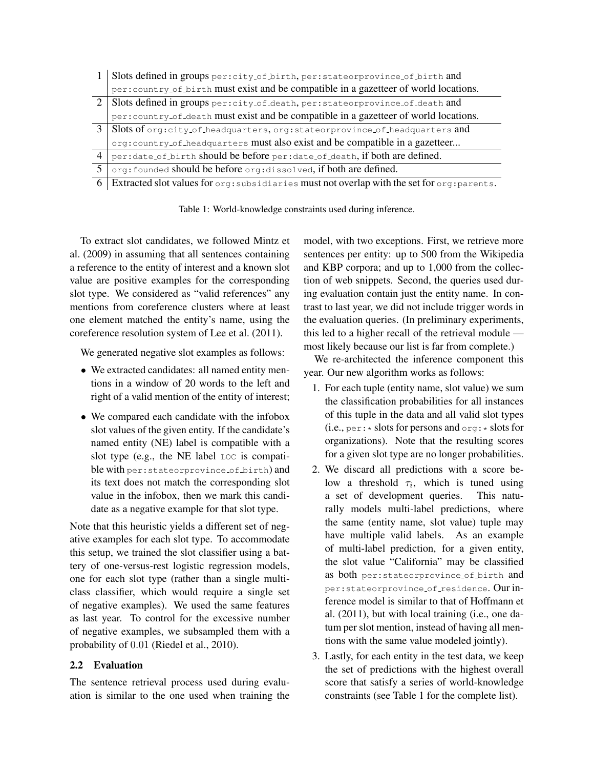|               | Slots defined in groups per: city_of_birth, per: stateorprovince_of_birth and                             |
|---------------|-----------------------------------------------------------------------------------------------------------|
|               | per:country_of_birth must exist and be compatible in a gazetteer of world locations.                      |
| 2             | Slots defined in groups per:city_of_death, per:stateorprovince_of_death and                               |
|               | per:country_of_death must exist and be compatible in a gazetteer of world locations.                      |
| $\mathcal{E}$ | Slots of org:city_of_headquarters, org:stateorprovince_of_headquarters and                                |
|               | org: country_of_headquarters must also exist and be compatible in a gazetteer                             |
| 4             | per:date_of_birth should be before per:date_of_death, if both are defined.                                |
| 5             | org: founded should be before org: dissolved, if both are defined.                                        |
|               | Extracted slot values for $\circ$ rg: subsidiaries must not overlap with the set for $\circ$ rg: parents. |

Table 1: World-knowledge constraints used during inference.

To extract slot candidates, we followed Mintz et al. (2009) in assuming that all sentences containing a reference to the entity of interest and a known slot value are positive examples for the corresponding slot type. We considered as "valid references" any mentions from coreference clusters where at least one element matched the entity's name, using the coreference resolution system of Lee et al. (2011).

We generated negative slot examples as follows:

- We extracted candidates: all named entity mentions in a window of 20 words to the left and right of a valid mention of the entity of interest;
- We compared each candidate with the infobox slot values of the given entity. If the candidate's named entity (NE) label is compatible with a slot type (e.g., the NE label LOC is compatible with per: stateorprovince of birth) and its text does not match the corresponding slot value in the infobox, then we mark this candidate as a negative example for that slot type.

Note that this heuristic yields a different set of negative examples for each slot type. To accommodate this setup, we trained the slot classifier using a battery of one-versus-rest logistic regression models, one for each slot type (rather than a single multiclass classifier, which would require a single set of negative examples). We used the same features as last year. To control for the excessive number of negative examples, we subsampled them with a probability of 0.01 (Riedel et al., 2010).

# 2.2 Evaluation

The sentence retrieval process used during evaluation is similar to the one used when training the model, with two exceptions. First, we retrieve more sentences per entity: up to 500 from the Wikipedia and KBP corpora; and up to 1,000 from the collection of web snippets. Second, the queries used during evaluation contain just the entity name. In contrast to last year, we did not include trigger words in the evaluation queries. (In preliminary experiments, this led to a higher recall of the retrieval module most likely because our list is far from complete.)

We re-architected the inference component this year. Our new algorithm works as follows:

- 1. For each tuple (entity name, slot value) we sum the classification probabilities for all instances of this tuple in the data and all valid slot types (i.e.,  $per: *$  slots for persons and  $org: *$  slots for organizations). Note that the resulting scores for a given slot type are no longer probabilities.
- 2. We discard all predictions with a score below a threshold  $\tau_i$ , which is tuned using a set of development queries. This naturally models multi-label predictions, where the same (entity name, slot value) tuple may have multiple valid labels. As an example of multi-label prediction, for a given entity, the slot value "California" may be classified as both per:stateorprovince of birth and per: stateorprovince of residence. Our inference model is similar to that of Hoffmann et al. (2011), but with local training (i.e., one datum per slot mention, instead of having all mentions with the same value modeled jointly).
- 3. Lastly, for each entity in the test data, we keep the set of predictions with the highest overall score that satisfy a series of world-knowledge constraints (see Table 1 for the complete list).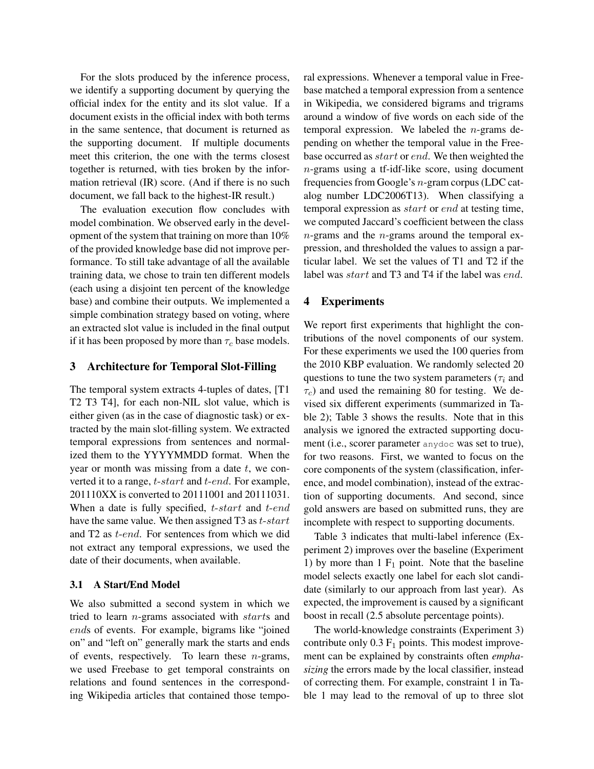For the slots produced by the inference process, we identify a supporting document by querying the official index for the entity and its slot value. If a document exists in the official index with both terms in the same sentence, that document is returned as the supporting document. If multiple documents meet this criterion, the one with the terms closest together is returned, with ties broken by the information retrieval (IR) score. (And if there is no such document, we fall back to the highest-IR result.)

The evaluation execution flow concludes with model combination. We observed early in the development of the system that training on more than 10% of the provided knowledge base did not improve performance. To still take advantage of all the available training data, we chose to train ten different models (each using a disjoint ten percent of the knowledge base) and combine their outputs. We implemented a simple combination strategy based on voting, where an extracted slot value is included in the final output if it has been proposed by more than  $\tau_c$  base models.

### 3 Architecture for Temporal Slot-Filling

The temporal system extracts 4-tuples of dates, [T1 T2 T3 T4], for each non-NIL slot value, which is either given (as in the case of diagnostic task) or extracted by the main slot-filling system. We extracted temporal expressions from sentences and normalized them to the YYYYMMDD format. When the year or month was missing from a date  $t$ , we converted it to a range, t-start and t-end. For example, 201110XX is converted to 20111001 and 20111031. When a date is fully specified,  $t$ -start and  $t$ -endhave the same value. We then assigned T3 as  $t$ -start and T2 as t-end. For sentences from which we did not extract any temporal expressions, we used the date of their documents, when available.

# 3.1 A Start/End Model

We also submitted a second system in which we tried to learn *n*-grams associated with *starts* and ends of events. For example, bigrams like "joined on" and "left on" generally mark the starts and ends of events, respectively. To learn these  $n$ -grams, we used Freebase to get temporal constraints on relations and found sentences in the corresponding Wikipedia articles that contained those temporal expressions. Whenever a temporal value in Freebase matched a temporal expression from a sentence in Wikipedia, we considered bigrams and trigrams around a window of five words on each side of the temporal expression. We labeled the n-grams depending on whether the temporal value in the Freebase occurred as *start* or *end*. We then weighted the n-grams using a tf-idf-like score, using document frequencies from Google's n-gram corpus (LDC catalog number LDC2006T13). When classifying a temporal expression as start or end at testing time, we computed Jaccard's coefficient between the class  $n$ -grams and the  $n$ -grams around the temporal expression, and thresholded the values to assign a particular label. We set the values of T1 and T2 if the label was *start* and T<sub>3</sub> and T<sub>4</sub> if the label was *end*.

## 4 Experiments

We report first experiments that highlight the contributions of the novel components of our system. For these experiments we used the 100 queries from the 2010 KBP evaluation. We randomly selected 20 questions to tune the two system parameters ( $\tau_i$  and  $\tau_c$ ) and used the remaining 80 for testing. We devised six different experiments (summarized in Table 2); Table 3 shows the results. Note that in this analysis we ignored the extracted supporting document (i.e., scorer parameter anydoc was set to true), for two reasons. First, we wanted to focus on the core components of the system (classification, inference, and model combination), instead of the extraction of supporting documents. And second, since gold answers are based on submitted runs, they are incomplete with respect to supporting documents.

Table 3 indicates that multi-label inference (Experiment 2) improves over the baseline (Experiment 1) by more than  $1 \mathrm{F}_1$  point. Note that the baseline model selects exactly one label for each slot candidate (similarly to our approach from last year). As expected, the improvement is caused by a significant boost in recall (2.5 absolute percentage points).

The world-knowledge constraints (Experiment 3) contribute only  $0.3 \, \mathrm{F}_1$  points. This modest improvement can be explained by constraints often *emphasizing* the errors made by the local classifier, instead of correcting them. For example, constraint 1 in Table 1 may lead to the removal of up to three slot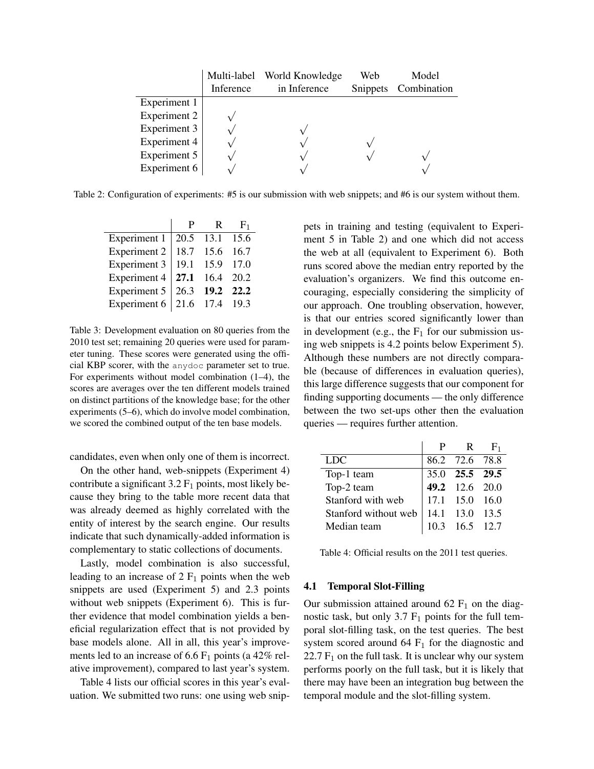|              |           | Multi-label World Knowledge | Web      | Model       |
|--------------|-----------|-----------------------------|----------|-------------|
|              | Inference | in Inference                | Snippets | Combination |
| Experiment 1 |           |                             |          |             |
| Experiment 2 |           |                             |          |             |
| Experiment 3 |           |                             |          |             |
| Experiment 4 |           |                             |          |             |
| Experiment 5 |           |                             |          |             |
| Experiment 6 |           |                             |          |             |

Table 2: Configuration of experiments: #5 is our submission with web snippets; and #6 is our system without them.

|                               | P. | $\mathbb{R}$   | $H_1$ |
|-------------------------------|----|----------------|-------|
| Experiment $1 \mid$           |    | 20.5 13.1 15.6 |       |
| Experiment 2                  |    | 18.7 15.6 16.7 |       |
| <b>Experiment 3</b>           |    | 19.1 15.9 17.0 |       |
| Experiment 4 $ $              |    | 27.1 16.4 20.2 |       |
| Experiment 5                  |    | 26.3 19.2 22.2 |       |
| Experiment 6   21.6 17.4 19.3 |    |                |       |

Table 3: Development evaluation on 80 queries from the 2010 test set; remaining 20 queries were used for parameter tuning. These scores were generated using the official KBP scorer, with the anydoc parameter set to true. For experiments without model combination (1–4), the scores are averages over the ten different models trained on distinct partitions of the knowledge base; for the other experiments (5–6), which do involve model combination, we scored the combined output of the ten base models.

candidates, even when only one of them is incorrect.

On the other hand, web-snippets (Experiment 4) contribute a significant  $3.2 \mathrm{F}_1$  points, most likely because they bring to the table more recent data that was already deemed as highly correlated with the entity of interest by the search engine. Our results indicate that such dynamically-added information is complementary to static collections of documents.

Lastly, model combination is also successful, leading to an increase of  $2 F<sub>1</sub>$  points when the web snippets are used (Experiment 5) and 2.3 points without web snippets (Experiment 6). This is further evidence that model combination yields a beneficial regularization effect that is not provided by base models alone. All in all, this year's improvements led to an increase of 6.6  $F_1$  points (a 42% relative improvement), compared to last year's system.

Table 4 lists our official scores in this year's evaluation. We submitted two runs: one using web snippets in training and testing (equivalent to Experiment 5 in Table 2) and one which did not access the web at all (equivalent to Experiment 6). Both runs scored above the median entry reported by the evaluation's organizers. We find this outcome encouraging, especially considering the simplicity of our approach. One troubling observation, however, is that our entries scored significantly lower than in development (e.g., the  $F_1$  for our submission using web snippets is 4.2 points below Experiment 5). Although these numbers are not directly comparable (because of differences in evaluation queries), this large difference suggests that our component for finding supporting documents — the only difference between the two set-ups other then the evaluation queries — requires further attention.

|                      | P                                                  |                  | $R = F_1$ |
|----------------------|----------------------------------------------------|------------------|-----------|
| <b>LDC</b>           |                                                    | 86.2 72.6 78.8   |           |
| Top-1 team           |                                                    | 35.0 25.5 29.5   |           |
| Top-2 team           |                                                    | 49.2 12.6 20.0   |           |
| Stanford with web    | $\begin{vmatrix} 17.1 & 15.0 & 16.0 \end{vmatrix}$ |                  |           |
| Stanford without web |                                                    | 14.1 13.0 13.5   |           |
| Median team          |                                                    | $10.3$ 16.5 12.7 |           |

Table 4: Official results on the 2011 test queries.

### 4.1 Temporal Slot-Filling

Our submission attained around  $62 \text{ F}_1$  on the diagnostic task, but only 3.7  $F_1$  points for the full temporal slot-filling task, on the test queries. The best system scored around 64  $F_1$  for the diagnostic and 22.7  $F_1$  on the full task. It is unclear why our system performs poorly on the full task, but it is likely that there may have been an integration bug between the temporal module and the slot-filling system.